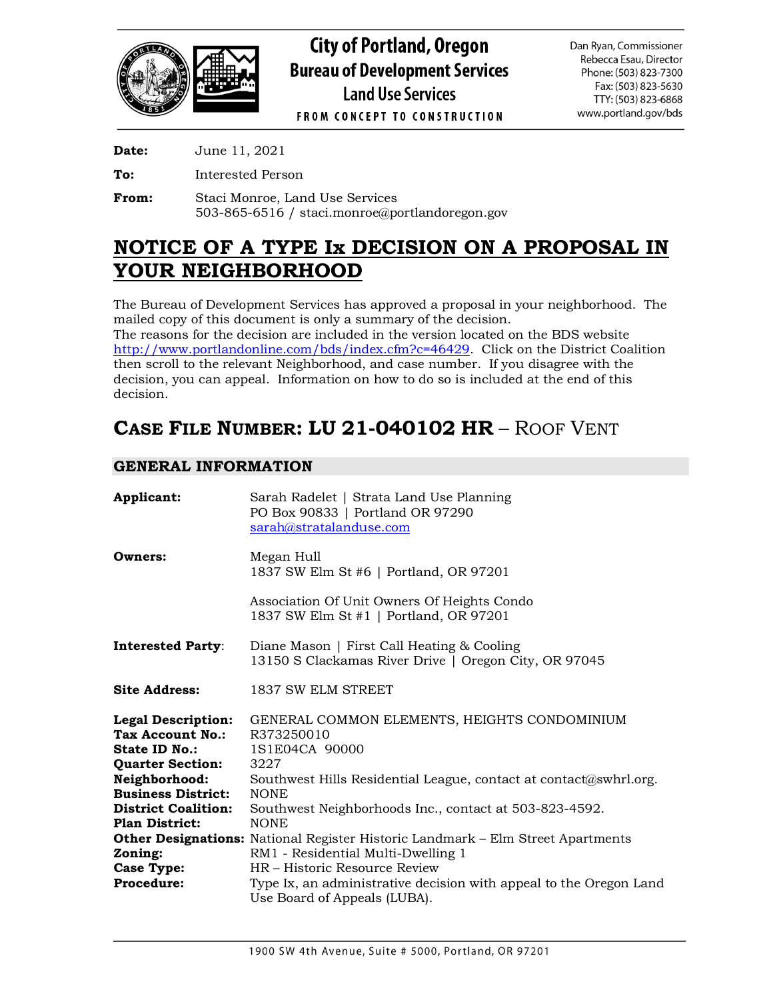

**Date:** June 11, 2021

**To:** Interested Person

**From:** Staci Monroe, Land Use Services 503-865-6516 / staci.monroe@portlandoregon.gov

# **NOTICE OF A TYPE Ix DECISION ON A PROPOSAL IN YOUR NEIGHBORHOOD**

The Bureau of Development Services has approved a proposal in your neighborhood. The mailed copy of this document is only a summary of the decision.

The reasons for the decision are included in the version located on the BDS website [http://www.portlandonline.com/bds/index.cfm?c=46429.](http://www.portlandonline.com/bds/index.cfm?c=46429) Click on the District Coalition then scroll to the relevant Neighborhood, and case number. If you disagree with the decision, you can appeal. Information on how to do so is included at the end of this decision.

# **CASE FILE NUMBER: LU 21-040102 HR** – ROOF VENT

# **GENERAL INFORMATION**

| Applicant:                                                                                       | Sarah Radelet   Strata Land Use Planning<br>PO Box 90833   Portland OR 97290<br>sarah@stratalanduse.com                      |
|--------------------------------------------------------------------------------------------------|------------------------------------------------------------------------------------------------------------------------------|
| Owners:                                                                                          | Megan Hull<br>1837 SW Elm St #6   Portland, OR 97201                                                                         |
|                                                                                                  | Association Of Unit Owners Of Heights Condo<br>1837 SW Elm St #1   Portland, OR 97201                                        |
| <b>Interested Party:</b>                                                                         | Diane Mason   First Call Heating & Cooling<br>13150 S Clackamas River Drive   Oregon City, OR 97045                          |
| <b>Site Address:</b>                                                                             | 1837 SW ELM STREET                                                                                                           |
| <b>Legal Description:</b><br>Tax Account No.:<br><b>State ID No.:</b><br><b>Quarter Section:</b> | GENERAL COMMON ELEMENTS, HEIGHTS CONDOMINIUM<br>R373250010<br>1S1E04CA 90000<br>3227                                         |
| Neighborhood:<br><b>Business District:</b>                                                       | Southwest Hills Residential League, contact at contact@swhrl.org.<br><b>NONE</b>                                             |
| <b>District Coalition:</b><br><b>Plan District:</b>                                              | Southwest Neighborhoods Inc., contact at 503-823-4592.<br><b>NONE</b>                                                        |
| Zoning:                                                                                          | <b>Other Designations:</b> National Register Historic Landmark – Elm Street Apartments<br>RM1 - Residential Multi-Dwelling 1 |
| Case Type:                                                                                       | HR - Historic Resource Review                                                                                                |
| <b>Procedure:</b>                                                                                | Type Ix, an administrative decision with appeal to the Oregon Land<br>Use Board of Appeals (LUBA).                           |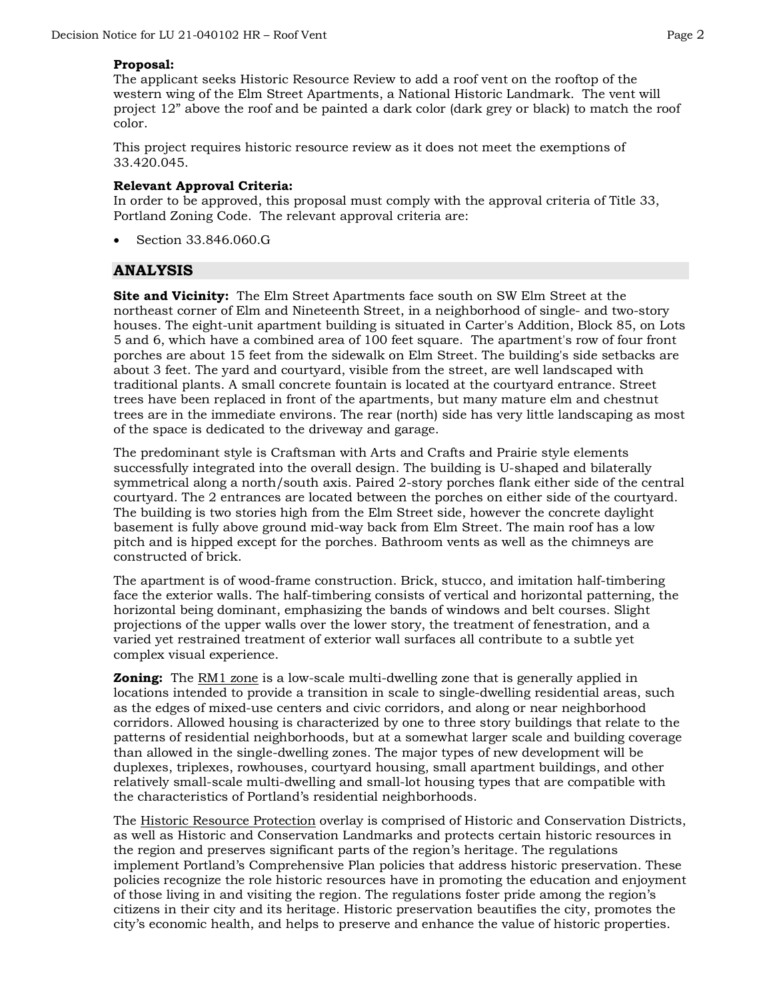## **Proposal:**

The applicant seeks Historic Resource Review to add a roof vent on the rooftop of the western wing of the Elm Street Apartments, a National Historic Landmark. The vent will project 12" above the roof and be painted a dark color (dark grey or black) to match the roof color.

This project requires historic resource review as it does not meet the exemptions of 33.420.045.

## **Relevant Approval Criteria:**

In order to be approved, this proposal must comply with the approval criteria of Title 33, Portland Zoning Code. The relevant approval criteria are:

• Section 33.846.060.G

# **ANALYSIS**

**Site and Vicinity:** The Elm Street Apartments face south on SW Elm Street at the northeast corner of Elm and Nineteenth Street, in a neighborhood of single- and two-story houses. The eight-unit apartment building is situated in Carter's Addition, Block 85, on Lots 5 and 6, which have a combined area of 100 feet square. The apartment's row of four front porches are about 15 feet from the sidewalk on Elm Street. The building's side setbacks are about 3 feet. The yard and courtyard, visible from the street, are well landscaped with traditional plants. A small concrete fountain is located at the courtyard entrance. Street trees have been replaced in front of the apartments, but many mature elm and chestnut trees are in the immediate environs. The rear (north) side has very little landscaping as most of the space is dedicated to the driveway and garage.

The predominant style is Craftsman with Arts and Crafts and Prairie style elements successfully integrated into the overall design. The building is U-shaped and bilaterally symmetrical along a north/south axis. Paired 2-story porches flank either side of the central courtyard. The 2 entrances are located between the porches on either side of the courtyard. The building is two stories high from the Elm Street side, however the concrete daylight basement is fully above ground mid-way back from Elm Street. The main roof has a low pitch and is hipped except for the porches. Bathroom vents as well as the chimneys are constructed of brick.

The apartment is of wood-frame construction. Brick, stucco, and imitation half-timbering face the exterior walls. The half-timbering consists of vertical and horizontal patterning, the horizontal being dominant, emphasizing the bands of windows and belt courses. Slight projections of the upper walls over the lower story, the treatment of fenestration, and a varied yet restrained treatment of exterior wall surfaces all contribute to a subtle yet complex visual experience.

**Zoning:** The RM1 zone is a low-scale multi-dwelling zone that is generally applied in locations intended to provide a transition in scale to single-dwelling residential areas, such as the edges of mixed-use centers and civic corridors, and along or near neighborhood corridors. Allowed housing is characterized by one to three story buildings that relate to the patterns of residential neighborhoods, but at a somewhat larger scale and building coverage than allowed in the single-dwelling zones. The major types of new development will be duplexes, triplexes, rowhouses, courtyard housing, small apartment buildings, and other relatively small-scale multi-dwelling and small-lot housing types that are compatible with the characteristics of Portland's residential neighborhoods.

The Historic Resource Protection overlay is comprised of Historic and Conservation Districts, as well as Historic and Conservation Landmarks and protects certain historic resources in the region and preserves significant parts of the region's heritage. The regulations implement Portland's Comprehensive Plan policies that address historic preservation. These policies recognize the role historic resources have in promoting the education and enjoyment of those living in and visiting the region. The regulations foster pride among the region's citizens in their city and its heritage. Historic preservation beautifies the city, promotes the city's economic health, and helps to preserve and enhance the value of historic properties.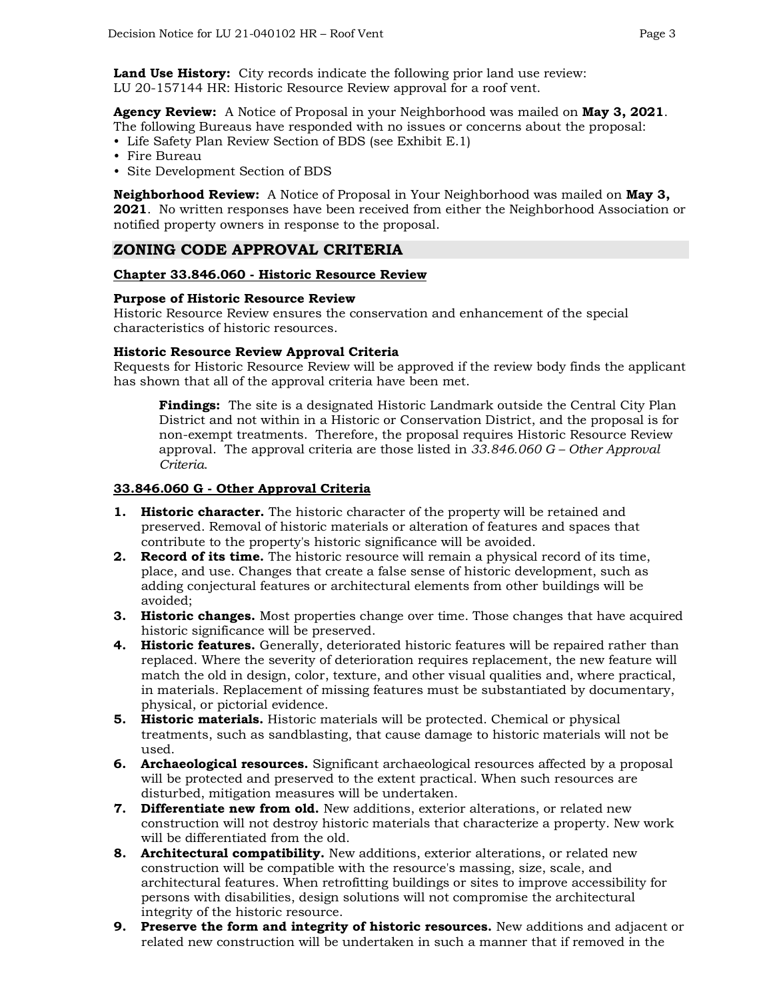**Land Use History:** City records indicate the following prior land use review: LU 20-157144 HR: Historic Resource Review approval for a roof vent.

**Agency Review:** A Notice of Proposal in your Neighborhood was mailed on **May 3, 2021**. The following Bureaus have responded with no issues or concerns about the proposal:

- Life Safety Plan Review Section of BDS (see Exhibit E.1)
- Fire Bureau
- Site Development Section of BDS

**Neighborhood Review:** A Notice of Proposal in Your Neighborhood was mailed on **May 3, 2021**. No written responses have been received from either the Neighborhood Association or notified property owners in response to the proposal.

# **ZONING CODE APPROVAL CRITERIA**

## **Chapter 33.846.060 - Historic Resource Review**

## **Purpose of Historic Resource Review**

Historic Resource Review ensures the conservation and enhancement of the special characteristics of historic resources.

#### **Historic Resource Review Approval Criteria**

Requests for Historic Resource Review will be approved if the review body finds the applicant has shown that all of the approval criteria have been met.

**Findings:** The site is a designated Historic Landmark outside the Central City Plan District and not within in a Historic or Conservation District, and the proposal is for non-exempt treatments. Therefore, the proposal requires Historic Resource Review approval. The approval criteria are those listed in *33.846.060 G – Other Approval Criteria*.

#### **33.846.060 G - Other Approval Criteria**

- **1. Historic character.** The historic character of the property will be retained and preserved. Removal of historic materials or alteration of features and spaces that contribute to the property's historic significance will be avoided.
- **2. Record of its time.** The historic resource will remain a physical record of its time, place, and use. Changes that create a false sense of historic development, such as adding conjectural features or architectural elements from other buildings will be avoided;
- **3. Historic changes.** Most properties change over time. Those changes that have acquired historic significance will be preserved.
- **4. Historic features.** Generally, deteriorated historic features will be repaired rather than replaced. Where the severity of deterioration requires replacement, the new feature will match the old in design, color, texture, and other visual qualities and, where practical, in materials. Replacement of missing features must be substantiated by documentary, physical, or pictorial evidence.
- **5. Historic materials.** Historic materials will be protected. Chemical or physical treatments, such as sandblasting, that cause damage to historic materials will not be used.
- **6. Archaeological resources.** Significant archaeological resources affected by a proposal will be protected and preserved to the extent practical. When such resources are disturbed, mitigation measures will be undertaken.
- **7. Differentiate new from old.** New additions, exterior alterations, or related new construction will not destroy historic materials that characterize a property. New work will be differentiated from the old.
- **8. Architectural compatibility.** New additions, exterior alterations, or related new construction will be compatible with the resource's massing, size, scale, and architectural features. When retrofitting buildings or sites to improve accessibility for persons with disabilities, design solutions will not compromise the architectural integrity of the historic resource.
- **9. Preserve the form and integrity of historic resources.** New additions and adjacent or related new construction will be undertaken in such a manner that if removed in the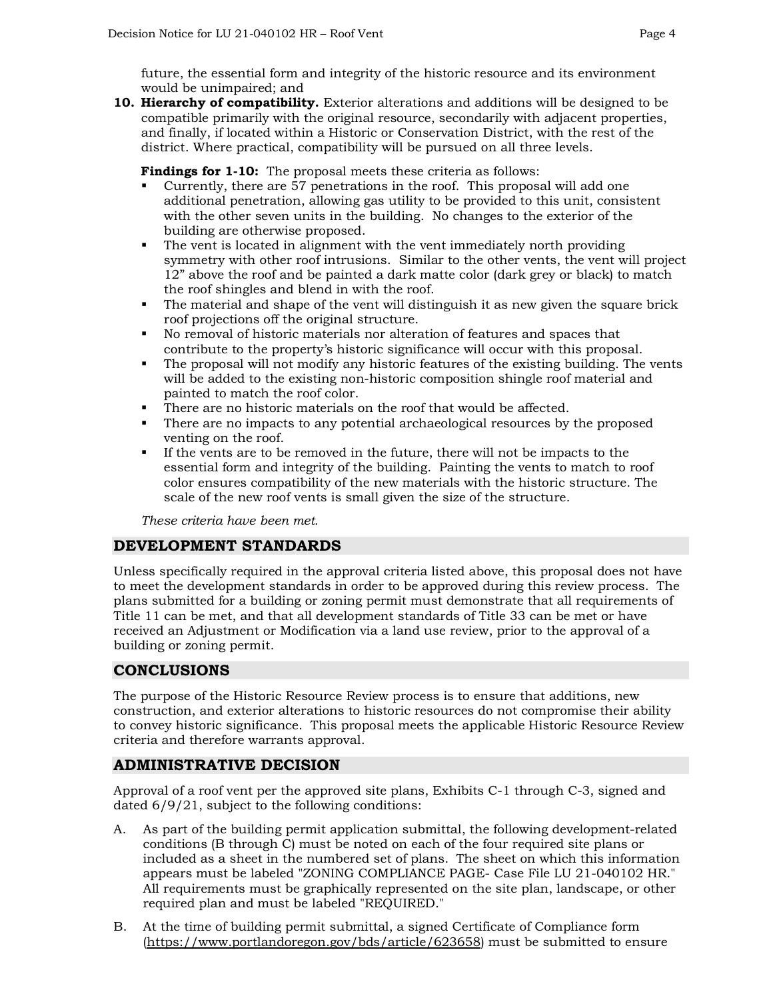future, the essential form and integrity of the historic resource and its environment would be unimpaired; and

**10. Hierarchy of compatibility.** Exterior alterations and additions will be designed to be compatible primarily with the original resource, secondarily with adjacent properties, and finally, if located within a Historic or Conservation District, with the rest of the district. Where practical, compatibility will be pursued on all three levels.

**Findings for 1-10:** The proposal meets these criteria as follows:

- Currently, there are 57 penetrations in the roof. This proposal will add one additional penetration, allowing gas utility to be provided to this unit, consistent with the other seven units in the building. No changes to the exterior of the building are otherwise proposed.
- The vent is located in alignment with the vent immediately north providing symmetry with other roof intrusions. Similar to the other vents, the vent will project 12" above the roof and be painted a dark matte color (dark grey or black) to match the roof shingles and blend in with the roof.
- The material and shape of the vent will distinguish it as new given the square brick roof projections off the original structure.
- No removal of historic materials nor alteration of features and spaces that contribute to the property's historic significance will occur with this proposal.
- The proposal will not modify any historic features of the existing building. The vents will be added to the existing non-historic composition shingle roof material and painted to match the roof color.
- There are no historic materials on the roof that would be affected.
- There are no impacts to any potential archaeological resources by the proposed venting on the roof.
- If the vents are to be removed in the future, there will not be impacts to the essential form and integrity of the building. Painting the vents to match to roof color ensures compatibility of the new materials with the historic structure. The scale of the new roof vents is small given the size of the structure.

*These criteria have been met.*

# **DEVELOPMENT STANDARDS**

Unless specifically required in the approval criteria listed above, this proposal does not have to meet the development standards in order to be approved during this review process. The plans submitted for a building or zoning permit must demonstrate that all requirements of Title 11 can be met, and that all development standards of Title 33 can be met or have received an Adjustment or Modification via a land use review, prior to the approval of a building or zoning permit.

# **CONCLUSIONS**

The purpose of the Historic Resource Review process is to ensure that additions, new construction, and exterior alterations to historic resources do not compromise their ability to convey historic significance. This proposal meets the applicable Historic Resource Review criteria and therefore warrants approval.

# **ADMINISTRATIVE DECISION**

Approval of a roof vent per the approved site plans, Exhibits C-1 through C-3, signed and dated 6/9/21, subject to the following conditions:

- A. As part of the building permit application submittal, the following development-related conditions (B through C) must be noted on each of the four required site plans or included as a sheet in the numbered set of plans. The sheet on which this information appears must be labeled "ZONING COMPLIANCE PAGE- Case File LU 21-040102 HR." All requirements must be graphically represented on the site plan, landscape, or other required plan and must be labeled "REQUIRED."
- B. At the time of building permit submittal, a signed Certificate of Compliance form [\(https://www.portlandoregon.gov/bds/article/623658\)](https://www.portlandoregon.gov/bds/article/623658) must be submitted to ensure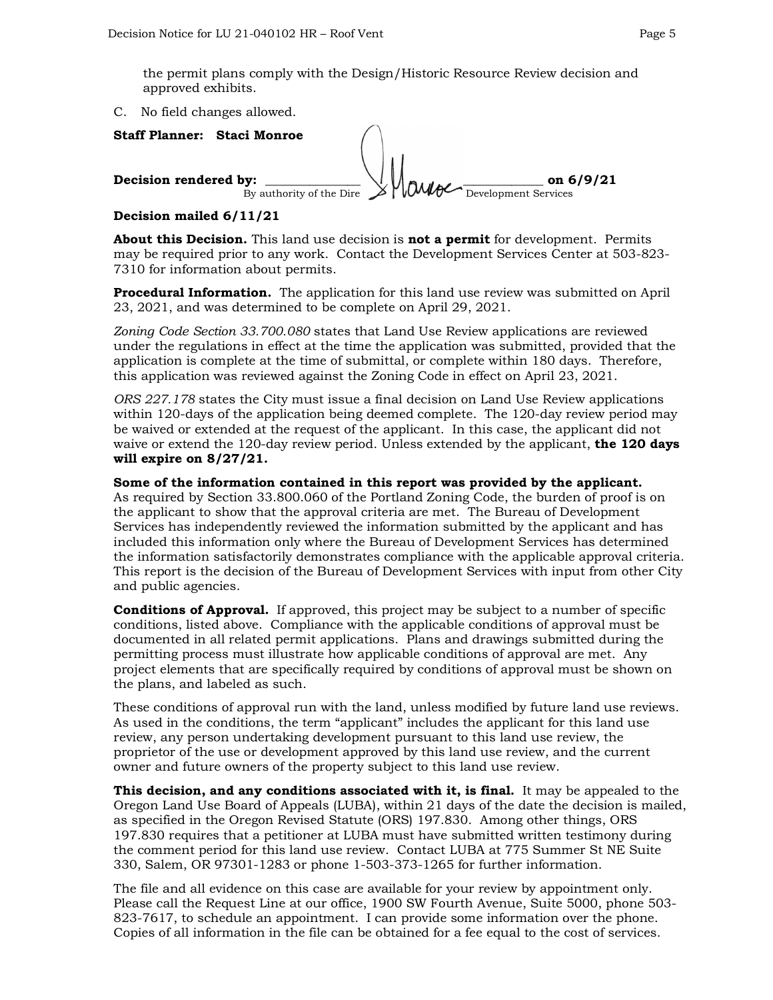the permit plans comply with the Design/Historic Resource Review decision and approved exhibits.

C. No field changes allowed.

**Staff Planner: Staci Monroe Decision rendered by:**  $\frac{1}{2}$   $\frac{1}{2}$   $\frac{1}{2}$   $\frac{1}{2}$   $\frac{1}{2}$   $\frac{1}{2}$   $\frac{1}{2}$   $\frac{1}{2}$   $\frac{1}{2}$   $\frac{1}{2}$   $\frac{1}{2}$   $\frac{1}{2}$   $\frac{1}{2}$   $\frac{1}{2}$   $\frac{1}{2}$   $\frac{1}{2}$   $\frac{1}{2}$   $\frac{1}{2}$   $\frac{1}{2}$   $\frac{1}{2$ By authority of the Dire

# **Decision mailed 6/11/21**

**About this Decision.** This land use decision is **not a permit** for development. Permits may be required prior to any work. Contact the Development Services Center at 503-823- 7310 for information about permits.

**Procedural Information.** The application for this land use review was submitted on April 23, 2021, and was determined to be complete on April 29, 2021.

*Zoning Code Section 33.700.080* states that Land Use Review applications are reviewed under the regulations in effect at the time the application was submitted, provided that the application is complete at the time of submittal, or complete within 180 days. Therefore, this application was reviewed against the Zoning Code in effect on April 23, 2021.

*ORS 227.178* states the City must issue a final decision on Land Use Review applications within 120-days of the application being deemed complete. The 120-day review period may be waived or extended at the request of the applicant. In this case, the applicant did not waive or extend the 120-day review period. Unless extended by the applicant, **the 120 days will expire on 8/27/21.**

## **Some of the information contained in this report was provided by the applicant.**

As required by Section 33.800.060 of the Portland Zoning Code, the burden of proof is on the applicant to show that the approval criteria are met. The Bureau of Development Services has independently reviewed the information submitted by the applicant and has included this information only where the Bureau of Development Services has determined the information satisfactorily demonstrates compliance with the applicable approval criteria. This report is the decision of the Bureau of Development Services with input from other City and public agencies.

**Conditions of Approval.** If approved, this project may be subject to a number of specific conditions, listed above. Compliance with the applicable conditions of approval must be documented in all related permit applications. Plans and drawings submitted during the permitting process must illustrate how applicable conditions of approval are met. Any project elements that are specifically required by conditions of approval must be shown on the plans, and labeled as such.

These conditions of approval run with the land, unless modified by future land use reviews. As used in the conditions, the term "applicant" includes the applicant for this land use review, any person undertaking development pursuant to this land use review, the proprietor of the use or development approved by this land use review, and the current owner and future owners of the property subject to this land use review.

**This decision, and any conditions associated with it, is final.** It may be appealed to the Oregon Land Use Board of Appeals (LUBA), within 21 days of the date the decision is mailed, as specified in the Oregon Revised Statute (ORS) 197.830. Among other things, ORS 197.830 requires that a petitioner at LUBA must have submitted written testimony during the comment period for this land use review. Contact LUBA at 775 Summer St NE Suite 330, Salem, OR 97301-1283 or phone 1-503-373-1265 for further information.

The file and all evidence on this case are available for your review by appointment only. Please call the Request Line at our office, 1900 SW Fourth Avenue, Suite 5000, phone 503- 823-7617, to schedule an appointment. I can provide some information over the phone. Copies of all information in the file can be obtained for a fee equal to the cost of services.